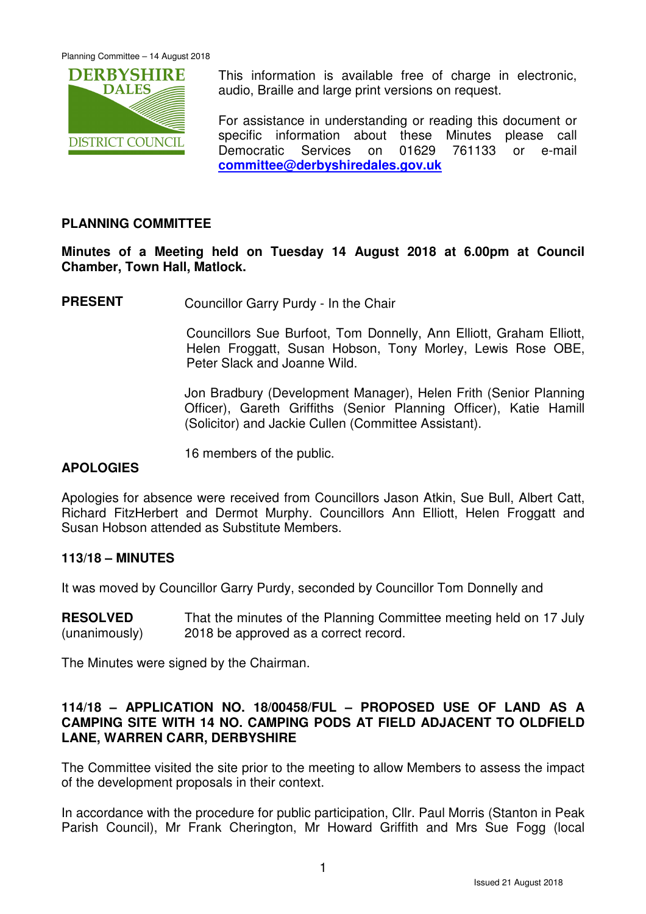

This information is available free of charge in electronic, audio, Braille and large print versions on request.

For assistance in understanding or reading this document or specific information about these Minutes please call Democratic Services on 01629 761133 or e-mail **committee@derbyshiredales.gov.uk**

# **PLANNING COMMITTEE**

**Minutes of a Meeting held on Tuesday 14 August 2018 at 6.00pm at Council Chamber, Town Hall, Matlock.** 

**PRESENT** Councillor Garry Purdy - In the Chair

 Councillors Sue Burfoot, Tom Donnelly, Ann Elliott, Graham Elliott, Helen Froggatt, Susan Hobson, Tony Morley, Lewis Rose OBE, Peter Slack and Joanne Wild.

Jon Bradbury (Development Manager), Helen Frith (Senior Planning Officer), Gareth Griffiths (Senior Planning Officer), Katie Hamill (Solicitor) and Jackie Cullen (Committee Assistant).

16 members of the public.

# **APOLOGIES**

Apologies for absence were received from Councillors Jason Atkin, Sue Bull, Albert Catt, Richard FitzHerbert and Dermot Murphy. Councillors Ann Elliott, Helen Froggatt and Susan Hobson attended as Substitute Members.

# **113/18 – MINUTES**

It was moved by Councillor Garry Purdy, seconded by Councillor Tom Donnelly and

**RESOLVED** (unanimously) That the minutes of the Planning Committee meeting held on 17 July 2018 be approved as a correct record.

The Minutes were signed by the Chairman.

# **114/18 – APPLICATION NO. 18/00458/FUL – PROPOSED USE OF LAND AS A CAMPING SITE WITH 14 NO. CAMPING PODS AT FIELD ADJACENT TO OLDFIELD LANE, WARREN CARR, DERBYSHIRE**

The Committee visited the site prior to the meeting to allow Members to assess the impact of the development proposals in their context.

In accordance with the procedure for public participation, Cllr. Paul Morris (Stanton in Peak Parish Council), Mr Frank Cherington, Mr Howard Griffith and Mrs Sue Fogg (local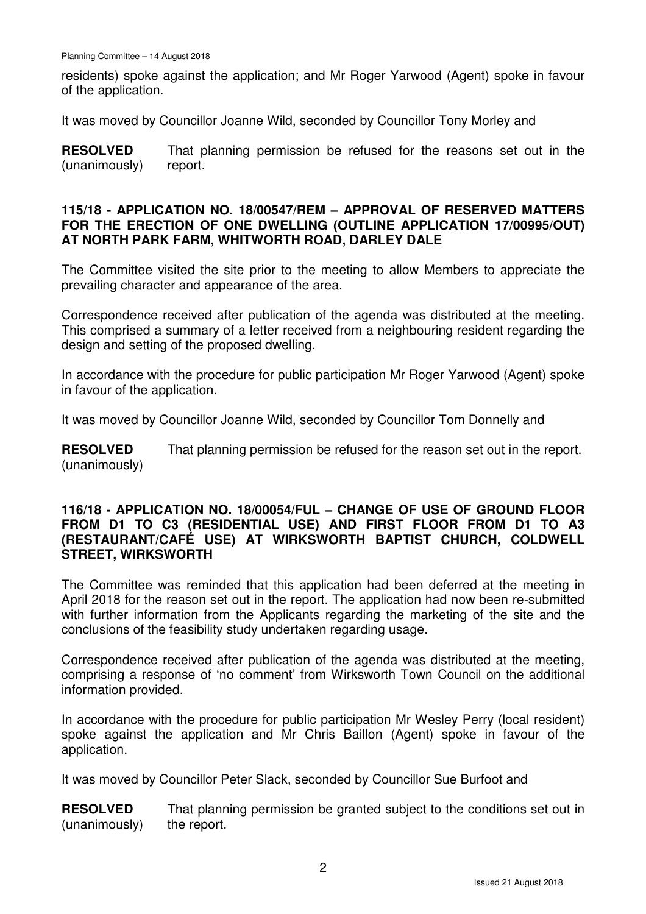residents) spoke against the application; and Mr Roger Yarwood (Agent) spoke in favour of the application.

It was moved by Councillor Joanne Wild, seconded by Councillor Tony Morley and

**RESOLVED** (unanimously) That planning permission be refused for the reasons set out in the report.

#### **115/18 - APPLICATION NO. 18/00547/REM – APPROVAL OF RESERVED MATTERS FOR THE ERECTION OF ONE DWELLING (OUTLINE APPLICATION 17/00995/OUT) AT NORTH PARK FARM, WHITWORTH ROAD, DARLEY DALE**

The Committee visited the site prior to the meeting to allow Members to appreciate the prevailing character and appearance of the area.

Correspondence received after publication of the agenda was distributed at the meeting. This comprised a summary of a letter received from a neighbouring resident regarding the design and setting of the proposed dwelling.

In accordance with the procedure for public participation Mr Roger Yarwood (Agent) spoke in favour of the application.

It was moved by Councillor Joanne Wild, seconded by Councillor Tom Donnelly and

**RESOLVED** (unanimously) That planning permission be refused for the reason set out in the report.

#### **116/18 - APPLICATION NO. 18/00054/FUL – CHANGE OF USE OF GROUND FLOOR FROM D1 TO C3 (RESIDENTIAL USE) AND FIRST FLOOR FROM D1 TO A3 (RESTAURANT/CAFÉ USE) AT WIRKSWORTH BAPTIST CHURCH, COLDWELL STREET, WIRKSWORTH**

The Committee was reminded that this application had been deferred at the meeting in April 2018 for the reason set out in the report. The application had now been re-submitted with further information from the Applicants regarding the marketing of the site and the conclusions of the feasibility study undertaken regarding usage.

Correspondence received after publication of the agenda was distributed at the meeting, comprising a response of 'no comment' from Wirksworth Town Council on the additional information provided.

In accordance with the procedure for public participation Mr Wesley Perry (local resident) spoke against the application and Mr Chris Baillon (Agent) spoke in favour of the application.

It was moved by Councillor Peter Slack, seconded by Councillor Sue Burfoot and

**RESOLVED** (unanimously) That planning permission be granted subject to the conditions set out in the report.